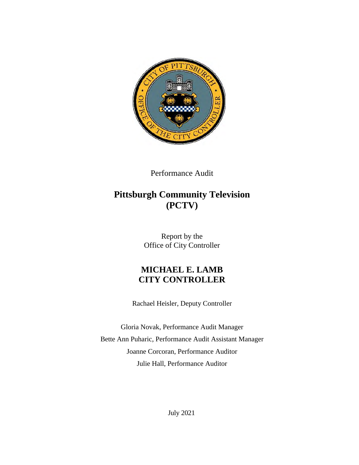

Performance Audit

# **Pittsburgh Community Television (PCTV)**

Report by the Office of City Controller

## **MICHAEL E. LAMB CITY CONTROLLER**

Rachael Heisler, Deputy Controller

Gloria Novak, Performance Audit Manager Bette Ann Puharic, Performance Audit Assistant Manager Joanne Corcoran, Performance Auditor Julie Hall, Performance Auditor

July 2021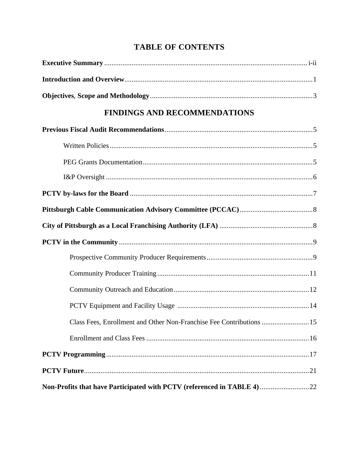# **TABLE OF CONTENTS**

| <b>FINDINGS AND RECOMMENDATIONS</b>                                    |  |
|------------------------------------------------------------------------|--|
|                                                                        |  |
|                                                                        |  |
|                                                                        |  |
|                                                                        |  |
|                                                                        |  |
|                                                                        |  |
|                                                                        |  |
|                                                                        |  |
|                                                                        |  |
|                                                                        |  |
|                                                                        |  |
|                                                                        |  |
| Class Fees, Enrollment and Other Non-Franchise Fee Contributions  15   |  |
|                                                                        |  |
|                                                                        |  |
|                                                                        |  |
| Non-Profits that have Participated with PCTV (referenced in TABLE 4)22 |  |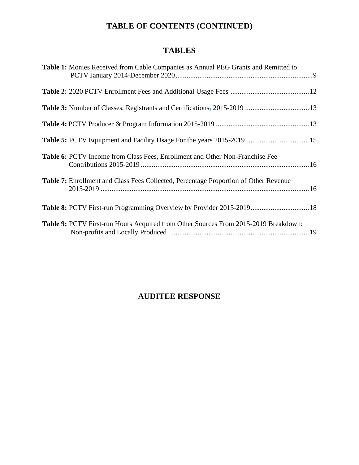# **TABLE OF CONTENTS (CONTINUED)**

# **TABLES**

| <b>Table 1:</b> Monies Received from Cable Companies as Annual PEG Grants and Remitted to   |  |
|---------------------------------------------------------------------------------------------|--|
|                                                                                             |  |
|                                                                                             |  |
|                                                                                             |  |
| Table 5: PCTV Equipment and Facility Usage For the years 2015-2019 15                       |  |
| <b>Table 6: PCTV</b> Income from Class Fees, Enrollment and Other Non-Franchise Fee         |  |
| <b>Table 7:</b> Enrollment and Class Fees Collected, Percentage Proportion of Other Revenue |  |
| Table 8: PCTV First-run Programming Overview by Provider 2015-2019 18                       |  |
| Table 9: PCTV First-run Hours Acquired from Other Sources From 2015-2019 Breakdown:         |  |

# **AUDITEE RESPONSE**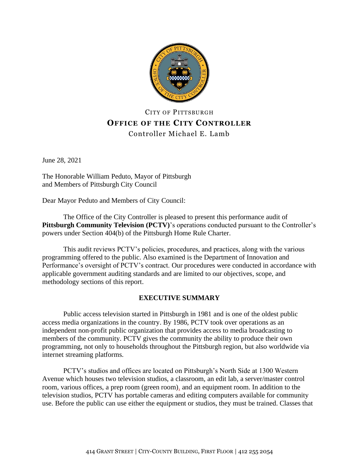

## CITY OF PITTSBURGH **OFFICE OF THE CITY CONTROLLER** Controller Michael E. Lamb

June 28, 2021

The Honorable William Peduto, Mayor of Pittsburgh and Members of Pittsburgh City Council

Dear Mayor Peduto and Members of City Council:

The Office of the City Controller is pleased to present this performance audit of **Pittsburgh Community Television (PCTV)**'s operations conducted pursuant to the Controller's powers under Section 404(b) of the Pittsburgh Home Rule Charter.

This audit reviews PCTV's policies, procedures, and practices, along with the various programming offered to the public. Also examined is the Department of Innovation and Performance's oversight of PCTV's contract. Our procedures were conducted in accordance with applicable government auditing standards and are limited to our objectives, scope, and methodology sections of this report.

## **EXECUTIVE SUMMARY**

Public access television started in Pittsburgh in 1981 and is one of the oldest public access media organizations in the country. By 1986, PCTV took over operations as an independent non-profit public organization that provides access to media broadcasting to members of the community. PCTV gives the community the ability to produce their own programming, not only to households throughout the Pittsburgh region, but also worldwide via internet streaming platforms.

PCTV's studios and offices are located on Pittsburgh's North Side at 1300 Western Avenue which houses two television studios, a classroom, an edit lab, a server/master control room, various offices, a prep room (green room), and an equipment room. In addition to the television studios, PCTV has portable cameras and editing computers available for community use. Before the public can use either the equipment or studios, they must be trained. Classes that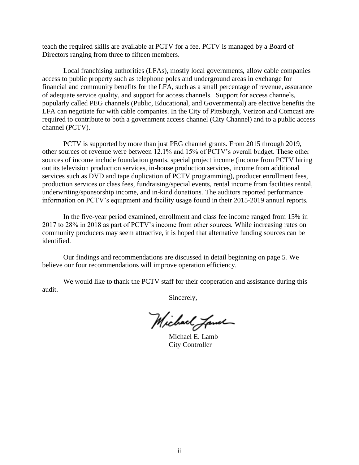teach the required skills are available at PCTV for a fee. PCTV is managed by a Board of Directors ranging from three to fifteen members.

Local franchising authorities (LFAs), mostly local governments, allow cable companies access to public property such as telephone poles and underground areas in exchange for financial and community benefits for the LFA, such as a small percentage of revenue, assurance of adequate service quality, and support for access channels. Support for access channels, popularly called PEG channels (Public, Educational, and Governmental) are elective benefits the LFA can negotiate for with cable companies. In the City of Pittsburgh, Verizon and Comcast are required to contribute to both a government access channel (City Channel) and to a public access channel (PCTV).

PCTV is supported by more than just PEG channel grants. From 2015 through 2019, other sources of revenue were between 12.1% and 15% of PCTV's overall budget. These other sources of income include foundation grants, special project income (income from PCTV hiring out its television production services, in-house production services, income from additional services such as DVD and tape duplication of PCTV programming), producer enrollment fees, production services or class fees, fundraising/special events, rental income from facilities rental, underwriting/sponsorship income, and in-kind donations. The auditors reported performance information on PCTV's equipment and facility usage found in their 2015-2019 annual reports.

In the five-year period examined, enrollment and class fee income ranged from 15% in 2017 to 28% in 2018 as part of PCTV's income from other sources. While increasing rates on community producers may seem attractive, it is hoped that alternative funding sources can be identified.

Our findings and recommendations are discussed in detail beginning on page 5. We believe our four recommendations will improve operation efficiency.

We would like to thank the PCTV staff for their cooperation and assistance during this audit.

Sincerely,

Michael James

Michael E. Lamb City Controller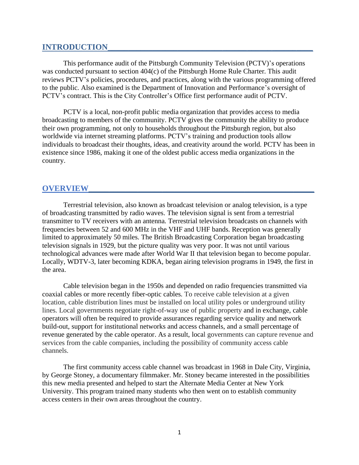## **INTRODUCTION**

This performance audit of the Pittsburgh Community Television (PCTV)'s operations was conducted pursuant to section 404(c) of the Pittsburgh Home Rule Charter. This audit reviews PCTV's policies, procedures, and practices, along with the various programming offered to the public. Also examined is the Department of Innovation and Performance's oversight of PCTV's contract. This is the City Controller's Office first performance audit of PCTV.

PCTV is a local, non-profit public media organization that provides access to media broadcasting to members of the community. PCTV gives the community the ability to produce their own programming, not only to households throughout the Pittsburgh region, but also worldwide via internet streaming platforms. PCTV's training and production tools allow individuals to broadcast their thoughts, ideas, and creativity around the world. PCTV has been in existence since 1986, making it one of the oldest public access media organizations in the country.

### **OVERVIEW\_\_\_\_\_\_\_\_\_\_\_\_\_\_\_\_\_\_\_\_\_\_\_\_\_\_\_\_\_\_\_\_\_\_\_\_\_\_\_\_\_\_\_\_\_\_\_\_\_\_\_\_\_\_\_**

Terrestrial television, also known as broadcast television or analog television, is a type of broadcasting transmitted by radio waves. The television signal is sent from a terrestrial transmitter to TV receivers with an antenna. Terrestrial television broadcasts on channels with frequencies between 52 and 600 MHz in the VHF and UHF bands. Reception was generally limited to approximately 50 miles. The British Broadcasting Corporation began broadcasting television signals in 1929, but the picture quality was very poor. It was not until various technological advances were made after World War II that television began to become popular. Locally, WDTV-3, later becoming KDKA, began airing television programs in 1949, the first in the area.

Cable television began in the 1950s and depended on radio frequencies transmitted via coaxial cables or more recently fiber-optic cables. To receive cable television at a given location, cable distribution lines must be installed on local utility poles or underground utility lines. Local governments negotiate right-of-way use of public property and in exchange, cable operators will often be required to provide assurances regarding service quality and network build-out, support for institutional networks and access channels, and a small percentage of revenue generated by the cable operator. As a result, local governments can capture revenue and services from the cable companies, including the possibility of community access cable channels.

The first community access cable channel was broadcast in 1968 in Dale City, Virginia, by George Stoney, a documentary filmmaker. Mr. Stoney became interested in the possibilities this new media presented and helped to start the Alternate Media Center at New York University. This program trained many students who then went on to establish community access centers in their own areas throughout the country.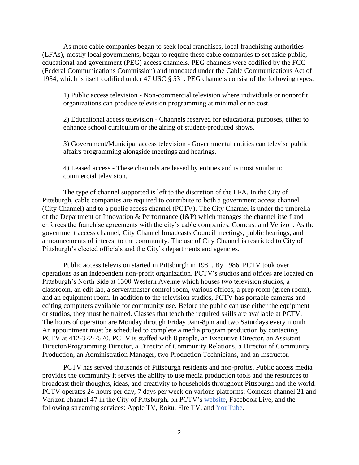As more cable companies began to seek local franchises, local franchising authorities (LFAs), mostly local governments, began to require these cable companies to set aside public, educational and government (PEG) access channels. PEG channels were codified by the FCC (Federal Communications Commission) and mandated under the Cable Communications Act of 1984, which is itself codified under 47 USC § 531. PEG channels consist of the following types:

1) Public access television - Non-commercial television where individuals or nonprofit organizations can produce television programming at minimal or no cost.

2) Educational access television - Channels reserved for educational purposes, either to enhance school curriculum or the airing of student-produced shows.

3) Government/Municipal access television - Governmental entities can televise public affairs programming alongside meetings and hearings.

4) Leased access - These channels are leased by entities and is most similar to commercial television.

The type of channel supported is left to the discretion of the LFA. In the City of Pittsburgh, cable companies are required to contribute to both a government access channel (City Channel) and to a public access channel (PCTV). The City Channel is under the umbrella of the Department of Innovation & Performance (I&P) which manages the channel itself and enforces the franchise agreements with the city's cable companies, Comcast and Verizon. As the government access channel, City Channel broadcasts Council meetings, public hearings, and announcements of interest to the community. The use of City Channel is restricted to City of Pittsburgh's elected officials and the City's departments and agencies.

Public access television started in Pittsburgh in 1981. By 1986, PCTV took over operations as an independent non-profit organization. PCTV's studios and offices are located on Pittsburgh's North Side at 1300 Western Avenue which houses two television studios, a classroom, an edit lab, a server/master control room, various offices, a prep room (green room), and an equipment room. In addition to the television studios, PCTV has portable cameras and editing computers available for community use. Before the public can use either the equipment or studios, they must be trained. Classes that teach the required skills are available at PCTV. The hours of operation are Monday through Friday 9am-8pm and two Saturdays every month. An appointment must be scheduled to complete a media program production by contacting PCTV at 412-322-7570. PCTV is staffed with 8 people, an Executive Director, an Assistant Director/Programming Director, a Director of Community Relations, a Director of Community Production, an Administration Manager, two Production Technicians, and an Instructor.

PCTV has served thousands of Pittsburgh residents and non-profits. Public access media provides the community it serves the ability to use media production tools and the resources to broadcast their thoughts, ideas, and creativity to households throughout Pittsburgh and the world. PCTV operates 24 hours per day, 7 days per week on various platforms: Comcast channel 21 and Verizon channel 47 in the City of Pittsburgh, on PCTV's [website,](https://www.pctv21.org/watch-live) Facebook Live, and the following streaming services: Apple TV, Roku, Fire TV, and [YouTube.](https://www.youtube.com/user/PCTV21/featured)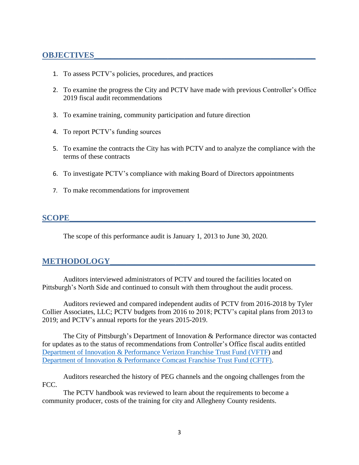## **OBJECTIVES\_\_\_\_\_\_\_\_\_\_\_\_\_\_\_\_\_\_\_\_\_\_\_\_\_\_\_\_\_\_\_\_\_\_\_\_\_\_\_\_\_\_\_\_\_\_\_\_\_\_\_\_\_\_**

- 1. To assess PCTV's policies, procedures, and practices
- 2. To examine the progress the City and PCTV have made with previous Controller's Office 2019 fiscal audit recommendations
- 3. To examine training, community participation and future direction
- 4. To report PCTV's funding sources
- 5. To examine the contracts the City has with PCTV and to analyze the compliance with the terms of these contracts
- 6. To investigate PCTV's compliance with making Board of Directors appointments
- 7. To make recommendations for improvement

## **SCOPE\_\_\_\_\_\_\_\_\_\_\_\_\_\_\_\_\_\_\_\_\_\_\_\_\_\_\_\_\_\_\_\_\_\_\_\_\_\_\_\_\_\_\_\_\_\_\_\_\_\_\_\_\_\_\_\_\_\_\_\_**

The scope of this performance audit is January 1, 2013 to June 30, 2020.

## **METHODOLOGY\_\_\_\_\_\_\_\_\_\_\_\_\_\_\_\_\_\_\_\_\_\_\_\_\_\_\_\_\_\_\_\_\_\_\_\_\_\_\_\_\_\_\_\_\_\_\_\_\_\_**

Auditors interviewed administrators of PCTV and toured the facilities located on Pittsburgh's North Side and continued to consult with them throughout the audit process.

Auditors reviewed and compared independent audits of PCTV from 2016-2018 by Tyler Collier Associates, LLC; PCTV budgets from 2016 to 2018; PCTV's capital plans from 2013 to 2019; and PCTV's annual reports for the years 2015-2019.

The City of Pittsburgh's Department of Innovation & Performance director was contacted for updates as to the status of recommendations from Controller's Office fiscal audits entitled [Department of Innovation & Performance Verizon Franchise Trust Fund](https://apps.pittsburghpa.gov/redtail/images/7610_Verizon_Franchise_TF-Fiscal_Audit_Report_10.24.2019.pdf) (VFTF) and [Department of Innovation & Performance Comcast Franchise Trust Fund \(CFTF\)](https://apps.pittsburghpa.gov/redtail/images/7611_Comcast_Franchise_TF-Fiscal_Audit_Report_10.24.2019.pdf)*.*

Auditors researched the history of PEG channels and the ongoing challenges from the FCC.

The PCTV handbook was reviewed to learn about the requirements to become a community producer, costs of the training for city and Allegheny County residents.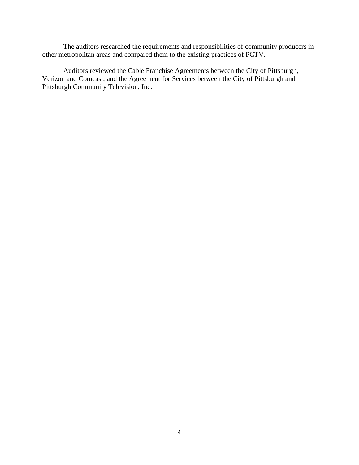The auditors researched the requirements and responsibilities of community producers in other metropolitan areas and compared them to the existing practices of PCTV.

Auditors reviewed the Cable Franchise Agreements between the City of Pittsburgh, Verizon and Comcast, and the Agreement for Services between the City of Pittsburgh and Pittsburgh Community Television, Inc.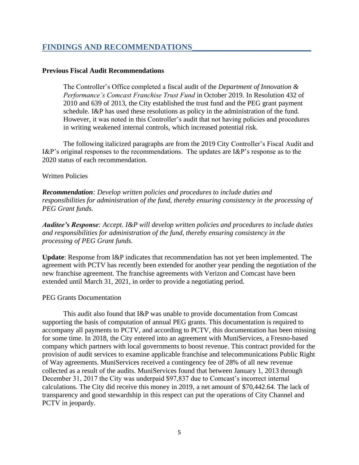## **FINDINGS AND RECOMMENDATIONS\_\_\_\_\_\_\_\_\_\_\_\_\_\_\_\_\_\_\_\_\_\_\_\_\_\_\_\_\_**

#### **Previous Fiscal Audit Recommendations**

The Controller's Office completed a fiscal audit of the *Department of Innovation & Performance's Comcast Franchise Trust Fund* in October 2019. In Resolution 432 of 2010 and 639 of 2013, the City established the trust fund and the PEG grant payment schedule. I&P has used these resolutions as policy in the administration of the fund. However, it was noted in this Controller's audit that not having policies and procedures in writing weakened internal controls, which increased potential risk.

The following italicized paragraphs are from the 2019 City Controller's Fiscal Audit and I&P's original responses to the recommendations. The updates are I&P's response as to the 2020 status of each recommendation.

#### Written Policies

*Recommendation: Develop written policies and procedures to include duties and responsibilities for administration of the fund, thereby ensuring consistency in the processing of PEG Grant funds.*

*Auditee's Response: Accept. I&P will develop written policies and procedures to include duties and responsibilities for administration of the fund, thereby ensuring consistency in the processing of PEG Grant funds.*

**Update**: Response from I&P indicates that recommendation has not yet been implemented. The agreement with PCTV has recently been extended for another year pending the negotiation of the new franchise agreement. The franchise agreements with Verizon and Comcast have been extended until March 31, 2021, in order to provide a negotiating period.

#### PEG Grants Documentation

This audit also found that I&P was unable to provide documentation from Comcast supporting the basis of computation of annual PEG grants. This documentation is required to accompany all payments to PCTV, and according to PCTV, this documentation has been missing for some time. In 2018, the City entered into an agreement with MuniServices, a Fresno-based company which partners with local governments to boost revenue. This contract provided for the provision of audit services to examine applicable franchise and telecommunications Public Right of Way agreements. MuniServices received a contingency fee of 28% of all new revenue collected as a result of the audits. MuniServices found that between January 1, 2013 through December 31, 2017 the City was underpaid \$97,837 due to Comcast's incorrect internal calculations. The City did receive this money in 2019, a net amount of \$70,442.64. The lack of transparency and good stewardship in this respect can put the operations of City Channel and PCTV in jeopardy.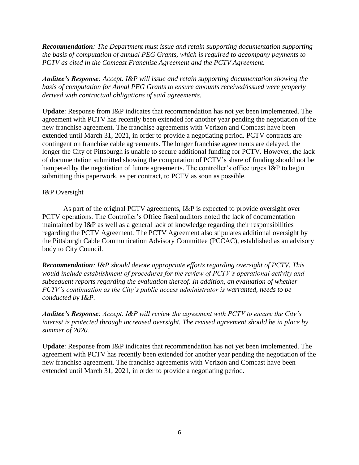*Recommendation: The Department must issue and retain supporting documentation supporting the basis of computation of annual PEG Grants, which is required to accompany payments to PCTV as cited in the Comcast Franchise Agreement and the PCTV Agreement.*

*Auditee's Response: Accept. I&P will issue and retain supporting documentation showing the basis of computation for Annal PEG Grants to ensure amounts received/issued were properly derived with contractual obligations of said agreements.*

**Update**: Response from I&P indicates that recommendation has not yet been implemented. The agreement with PCTV has recently been extended for another year pending the negotiation of the new franchise agreement. The franchise agreements with Verizon and Comcast have been extended until March 31, 2021, in order to provide a negotiating period. PCTV contracts are contingent on franchise cable agreements. The longer franchise agreements are delayed, the longer the City of Pittsburgh is unable to secure additional funding for PCTV. However, the lack of documentation submitted showing the computation of PCTV's share of funding should not be hampered by the negotiation of future agreements. The controller's office urges I&P to begin submitting this paperwork, as per contract, to PCTV as soon as possible.

### I&P Oversight

As part of the original PCTV agreements, I&P is expected to provide oversight over PCTV operations. The Controller's Office fiscal auditors noted the lack of documentation maintained by I&P as well as a general lack of knowledge regarding their responsibilities regarding the PCTV Agreement. The PCTV Agreement also stipulates additional oversight by the Pittsburgh Cable Communication Advisory Committee (PCCAC), established as an advisory body to City Council.

*Recommendation: I&P should devote appropriate efforts regarding oversight of PCTV. This would include establishment of procedures for the review of PCTV's operational activity and subsequent reports regarding the evaluation thereof. In addition, an evaluation of whether PCTV's continuation as the City's public access administrator is warranted, needs to be conducted by I&P.*

*Auditee's Response: Accept. I&P will review the agreement with PCTV to ensure the City's interest is protected through increased oversight. The revised agreement should be in place by summer of 2020.*

**Update**: Response from I&P indicates that recommendation has not yet been implemented. The agreement with PCTV has recently been extended for another year pending the negotiation of the new franchise agreement. The franchise agreements with Verizon and Comcast have been extended until March 31, 2021, in order to provide a negotiating period.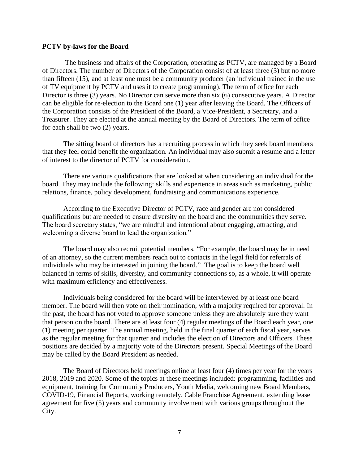#### **PCTV by-laws for the Board**

The business and affairs of the Corporation, operating as PCTV, are managed by a Board of Directors. The number of Directors of the Corporation consist of at least three (3) but no more than fifteen (15), and at least one must be a community producer (an individual trained in the use of TV equipment by PCTV and uses it to create programming). The term of office for each Director is three (3) years. No Director can serve more than six (6) consecutive years. A Director can be eligible for re-election to the Board one (1) year after leaving the Board. The Officers of the Corporation consists of the President of the Board, a Vice-President, a Secretary, and a Treasurer. They are elected at the annual meeting by the Board of Directors. The term of office for each shall be two (2) years.

The sitting board of directors has a recruiting process in which they seek board members that they feel could benefit the organization. An individual may also submit a resume and a letter of interest to the director of PCTV for consideration.

There are various qualifications that are looked at when considering an individual for the board. They may include the following: skills and experience in areas such as marketing, public relations, finance, policy development, fundraising and communications experience.

According to the Executive Director of PCTV, race and gender are not considered qualifications but are needed to ensure diversity on the board and the communities they serve. The board secretary states, "we are mindful and intentional about engaging, attracting, and welcoming a diverse board to lead the organization."

The board may also recruit potential members. "For example, the board may be in need of an attorney, so the current members reach out to contacts in the legal field for referrals of individuals who may be interested in joining the board." The goal is to keep the board well balanced in terms of skills, diversity, and community connections so, as a whole, it will operate with maximum efficiency and effectiveness.

Individuals being considered for the board will be interviewed by at least one board member. The board will then vote on their nomination, with a majority required for approval. In the past, the board has not voted to approve someone unless they are absolutely sure they want that person on the board. There are at least four (4) regular meetings of the Board each year, one (1) meeting per quarter. The annual meeting, held in the final quarter of each fiscal year, serves as the regular meeting for that quarter and includes the election of Directors and Officers. These positions are decided by a majority vote of the Directors present. Special Meetings of the Board may be called by the Board President as needed.

The Board of Directors held meetings online at least four (4) times per year for the years 2018, 2019 and 2020. Some of the topics at these meetings included: programming, facilities and equipment, training for Community Producers, Youth Media, welcoming new Board Members, COVID-19, Financial Reports, working remotely, Cable Franchise Agreement, extending lease agreement for five (5) years and community involvement with various groups throughout the City.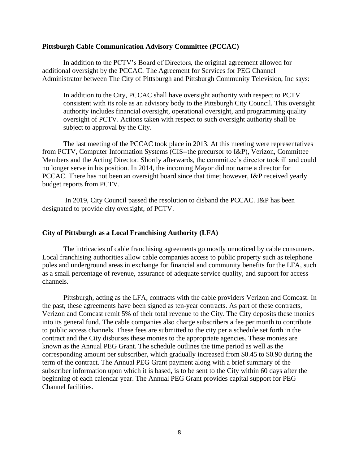#### **Pittsburgh Cable Communication Advisory Committee (PCCAC)**

In addition to the PCTV's Board of Directors, the original agreement allowed for additional oversight by the PCCAC. The Agreement for Services for PEG Channel Administrator between The City of Pittsburgh and Pittsburgh Community Television, Inc says:

In addition to the City, PCCAC shall have oversight authority with respect to PCTV consistent with its role as an advisory body to the Pittsburgh City Council. This oversight authority includes financial oversight, operational oversight, and programming quality oversight of PCTV. Actions taken with respect to such oversight authority shall be subject to approval by the City.

The last meeting of the PCCAC took place in 2013. At this meeting were representatives from PCTV, Computer Information Systems (CIS--the precursor to I&P), Verizon, Committee Members and the Acting Director. Shortly afterwards, the committee's director took ill and could no longer serve in his position. In 2014, the incoming Mayor did not name a director for PCCAC. There has not been an oversight board since that time; however, I&P received yearly budget reports from PCTV.

In 2019, City Council passed the resolution to disband the PCCAC. I&P has been designated to provide city oversight, of PCTV.

#### **City of Pittsburgh as a Local Franchising Authority (LFA)**

The intricacies of cable franchising agreements go mostly unnoticed by cable consumers. Local franchising authorities allow cable companies access to public property such as telephone poles and underground areas in exchange for financial and community benefits for the LFA, such as a small percentage of revenue, assurance of adequate service quality, and support for access channels.

Pittsburgh, acting as the LFA, contracts with the cable providers Verizon and Comcast. In the past, these agreements have been signed as ten-year contracts. As part of these contracts, Verizon and Comcast remit 5% of their total revenue to the City. The City deposits these monies into its general fund. The cable companies also charge subscribers a fee per month to contribute to public access channels. These fees are submitted to the city per a schedule set forth in the contract and the City disburses these monies to the appropriate agencies. These monies are known as the Annual PEG Grant. The schedule outlines the time period as well as the corresponding amount per subscriber, which gradually increased from \$0.45 to \$0.90 during the term of the contract. The Annual PEG Grant payment along with a brief summary of the subscriber information upon which it is based, is to be sent to the City within 60 days after the beginning of each calendar year. The Annual PEG Grant provides capital support for PEG Channel facilities.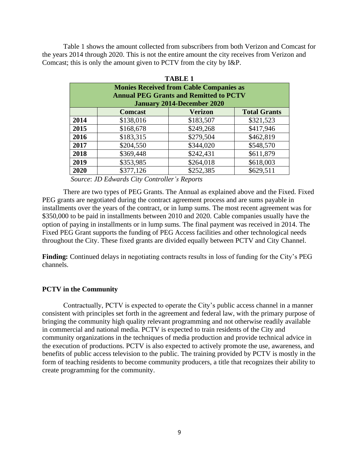Table 1 shows the amount collected from subscribers from both Verizon and Comcast for the years 2014 through 2020. This is not the entire amount the city receives from Verizon and Comcast; this is only the amount given to PCTV from the city by I&P.

| <b>TABLE 1</b> |                |                                                |                     |  |  |
|----------------|----------------|------------------------------------------------|---------------------|--|--|
|                |                | <b>Monies Received from Cable Companies as</b> |                     |  |  |
|                |                | <b>Annual PEG Grants and Remitted to PCTV</b>  |                     |  |  |
|                |                | <b>January 2014-December 2020</b>              |                     |  |  |
|                | <b>Comcast</b> | <b>Verizon</b>                                 | <b>Total Grants</b> |  |  |
| 2014           | \$138,016      | \$183,507                                      | \$321,523           |  |  |
| 2015           | \$168,678      | \$249,268                                      | \$417,946           |  |  |
| 2016           | \$183,315      | \$279,504                                      | \$462,819           |  |  |
| 2017           | \$204,550      | \$344,020                                      | \$548,570           |  |  |
| 2018           | \$369,448      | \$242,431                                      | \$611,879           |  |  |
| 2019           | \$353,985      | \$264,018                                      | \$618,003           |  |  |
| 2020           | \$377,126      | \$252,385                                      | \$629,511           |  |  |
|                |                |                                                |                     |  |  |

*Source*: *JD Edwards City Controller's Reports*

There are two types of PEG Grants. The Annual as explained above and the Fixed. Fixed PEG grants are negotiated during the contract agreement process and are sums payable in installments over the years of the contract, or in lump sums. The most recent agreement was for \$350,000 to be paid in installments between 2010 and 2020. Cable companies usually have the option of paying in installments or in lump sums. The final payment was received in 2014. The Fixed PEG Grant supports the funding of PEG Access facilities and other technological needs throughout the City. These fixed grants are divided equally between PCTV and City Channel.

**Finding:** Continued delays in negotiating contracts results in loss of funding for the City's PEG channels.

### **PCTV in the Community**

Contractually, PCTV is expected to operate the City's public access channel in a manner consistent with principles set forth in the agreement and federal law, with the primary purpose of bringing the community high quality relevant programming and not otherwise readily available in commercial and national media. PCTV is expected to train residents of the City and community organizations in the techniques of media production and provide technical advice in the execution of productions. PCTV is also expected to actively promote the use, awareness, and benefits of public access television to the public. The training provided by PCTV is mostly in the form of teaching residents to become community producers, a title that recognizes their ability to create programming for the community.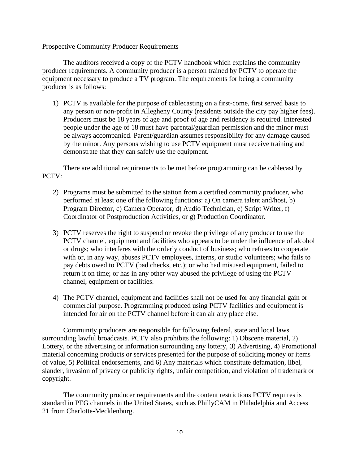Prospective Community Producer Requirements

The auditors received a copy of the PCTV handbook which explains the community producer requirements. A community producer is a person trained by PCTV to operate the equipment necessary to produce a TV program. The requirements for being a community producer is as follows:

1) PCTV is available for the purpose of cablecasting on a first-come, first served basis to any person or non-profit in Allegheny County (residents outside the city pay higher fees). Producers must be 18 years of age and proof of age and residency is required. Interested people under the age of 18 must have parental/guardian permission and the minor must be always accompanied. Parent/guardian assumes responsibility for any damage caused by the minor. Any persons wishing to use PCTV equipment must receive training and demonstrate that they can safely use the equipment.

There are additional requirements to be met before programming can be cablecast by PCTV:

- 2) Programs must be submitted to the station from a certified community producer, who performed at least one of the following functions: a) On camera talent and/host, b) Program Director, c) Camera Operator, d) Audio Technician, e) Script Writer, f) Coordinator of Postproduction Activities, or g) Production Coordinator.
- 3) PCTV reserves the right to suspend or revoke the privilege of any producer to use the PCTV channel, equipment and facilities who appears to be under the influence of alcohol or drugs; who interferes with the orderly conduct of business; who refuses to cooperate with or, in any way, abuses PCTV employees, interns, or studio volunteers; who fails to pay debts owed to PCTV (bad checks, etc.); or who had misused equipment, failed to return it on time; or has in any other way abused the privilege of using the PCTV channel, equipment or facilities.
- 4) The PCTV channel, equipment and facilities shall not be used for any financial gain or commercial purpose. Programming produced using PCTV facilities and equipment is intended for air on the PCTV channel before it can air any place else.

Community producers are responsible for following federal, state and local laws surrounding lawful broadcasts. PCTV also prohibits the following: 1) Obscene material, 2) Lottery, or the advertising or information surrounding any lottery, 3) Advertising, 4) Promotional material concerning products or services presented for the purpose of soliciting money or items of value, 5) Political endorsements, and 6) Any materials which constitute defamation, libel, slander, invasion of privacy or publicity rights, unfair competition, and violation of trademark or copyright.

The community producer requirements and the content restrictions PCTV requires is standard in PEG channels in the United States, such as PhillyCAM in Philadelphia and Access 21 from Charlotte-Mecklenburg.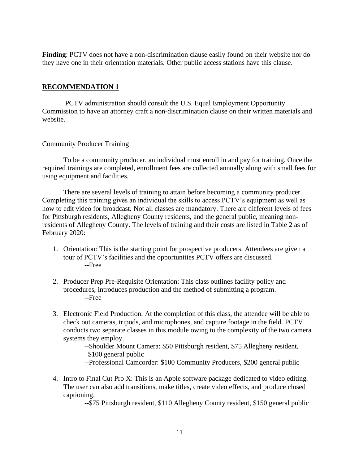Finding: PCTV does not have a non-discrimination clause easily found on their website nor do they have one in their orientation materials. Other public access stations have this clause.

### **RECOMMENDATION 1**

PCTV administration should consult the U.S. Equal Employment Opportunity Commission to have an attorney craft a non-discrimination clause on their written materials and website.

### Community Producer Training

To be a community producer, an individual must enroll in and pay for training. Once the required trainings are completed, enrollment fees are collected annually along with small fees for using equipment and facilities.

There are several levels of training to attain before becoming a community producer. Completing this training gives an individual the skills to access PCTV's equipment as well as how to edit video for broadcast. Not all classes are mandatory. There are different levels of fees for Pittsburgh residents, Allegheny County residents, and the general public, meaning nonresidents of Allegheny County. The levels of training and their costs are listed in Table 2 as of February 2020:

- 1. Orientation: This is the starting point for prospective producers. Attendees are given a tour of PCTV's facilities and the opportunities PCTV offers are discussed. --Free
- 2. Producer Prep Pre-Requisite Orientation: This class outlines facility policy and procedures, introduces production and the method of submitting a program. --Free
- 3. Electronic Field Production: At the completion of this class, the attendee will be able to check out cameras, tripods, and microphones, and capture footage in the field. PCTV conducts two separate classes in this module owing to the complexity of the two camera systems they employ.

--Shoulder Mount Camera: \$50 Pittsburgh resident, \$75 Allegheny resident, \$100 general public

- --Professional Camcorder: \$100 Community Producers, \$200 general public
- 4. Intro to Final Cut Pro X: This is an Apple software package dedicated to video editing. The user can also add transitions, make titles, create video effects, and produce closed captioning.

--\$75 Pittsburgh resident, \$110 Allegheny County resident, \$150 general public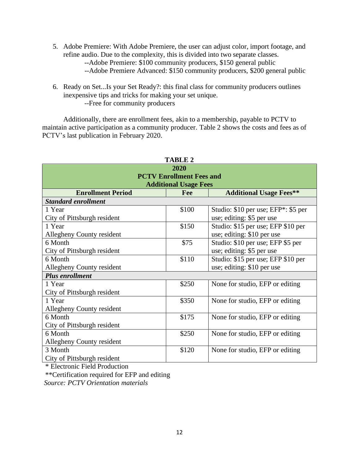- 5. Adobe Premiere: With Adobe Premiere, the user can adjust color, import footage, and refine audio. Due to the complexity, this is divided into two separate classes. --Adobe Premiere: \$100 community producers, \$150 general public
	- --Adobe Premiere Advanced: \$150 community producers, \$200 general public
- 6. Ready on Set...Is your Set Ready?: this final class for community producers outlines inexpensive tips and tricks for making your set unique. --Free for community producers

Additionally, there are enrollment fees, akin to a membership, payable to PCTV to maintain active participation as a community producer. Table 2 shows the costs and fees as of PCTV's last publication in February 2020.

| <b>TABLE 2</b>              |                                 |                                     |  |  |
|-----------------------------|---------------------------------|-------------------------------------|--|--|
|                             | 2020                            |                                     |  |  |
|                             | <b>PCTV Enrollment Fees and</b> |                                     |  |  |
|                             | <b>Additional Usage Fees</b>    |                                     |  |  |
| <b>Enrollment Period</b>    | Fee                             | <b>Additional Usage Fees**</b>      |  |  |
| <b>Standard enrollment</b>  |                                 |                                     |  |  |
| 1 Year                      | \$100                           | Studio: \$10 per use; EFP*: \$5 per |  |  |
| City of Pittsburgh resident |                                 | use; editing: \$5 per use           |  |  |
| 1 Year                      | \$150                           | Studio: \$15 per use; EFP \$10 per  |  |  |
| Allegheny County resident   |                                 | use; editing: \$10 per use          |  |  |
| 6 Month                     | \$75                            | Studio: \$10 per use; EFP \$5 per   |  |  |
| City of Pittsburgh resident |                                 | use; editing: \$5 per use           |  |  |
| 6 Month                     | \$110                           | Studio: \$15 per use; EFP \$10 per  |  |  |
| Allegheny County resident   |                                 | use; editing: \$10 per use          |  |  |
| <b>Plus enrollment</b>      |                                 |                                     |  |  |
| 1 Year                      | \$250                           | None for studio, EFP or editing     |  |  |
| City of Pittsburgh resident |                                 |                                     |  |  |
| 1 Year                      | \$350                           | None for studio, EFP or editing     |  |  |
| Allegheny County resident   |                                 |                                     |  |  |
| 6 Month                     | \$175                           | None for studio, EFP or editing     |  |  |
| City of Pittsburgh resident |                                 |                                     |  |  |
| 6 Month                     | \$250                           | None for studio, EFP or editing     |  |  |
| Allegheny County resident   |                                 |                                     |  |  |
| 3 Month                     | \$120                           | None for studio, EFP or editing     |  |  |
| City of Pittsburgh resident |                                 |                                     |  |  |

\* Electronic Field Production

\*\*Certification required for EFP and editing

*Source: PCTV Orientation materials*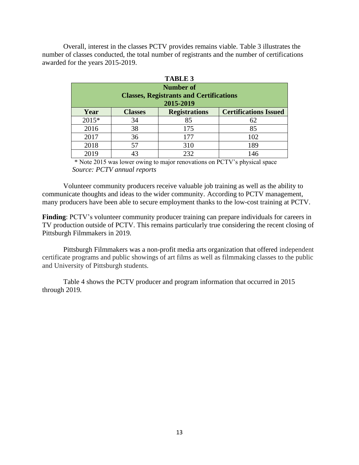Overall, interest in the classes PCTV provides remains viable. Table 3 illustrates the number of classes conducted, the total number of registrants and the number of certifications awarded for the years 2015-2019.

| IABLE 5 |                  |                                                |                              |  |  |  |
|---------|------------------|------------------------------------------------|------------------------------|--|--|--|
|         | <b>Number of</b> |                                                |                              |  |  |  |
|         |                  | <b>Classes, Registrants and Certifications</b> |                              |  |  |  |
|         |                  | 2015-2019                                      |                              |  |  |  |
| Year    | <b>Classes</b>   | <b>Registrations</b>                           | <b>Certifications Issued</b> |  |  |  |
| 2015*   | 34               | 85                                             | 62                           |  |  |  |
| 2016    | 38               | 175                                            | 85                           |  |  |  |
| 2017    | 36               | 177                                            | 102                          |  |  |  |
| 2018    | 57               | 310                                            | 189                          |  |  |  |
| 2019    | 43               | 232                                            | 146                          |  |  |  |

|  | ı.<br>\ ns l<br>. . |  |  |
|--|---------------------|--|--|
|--|---------------------|--|--|

\* Note 2015 was lower owing to major renovations on PCTV's physical space  *Source: PCTV annual reports*

Volunteer community producers receive valuable job training as well as the ability to communicate thoughts and ideas to the wider community. According to PCTV management, many producers have been able to secure employment thanks to the low-cost training at PCTV.

**Finding**: PCTV's volunteer community producer training can prepare individuals for careers in TV production outside of PCTV. This remains particularly true considering the recent closing of Pittsburgh Filmmakers in 2019.

Pittsburgh Filmmakers was a non-profit media arts organization that offered independent certificate programs and public showings of art films as well as filmmaking classes to the public and University of Pittsburgh students.

Table 4 shows the PCTV producer and program information that occurred in 2015 through 2019.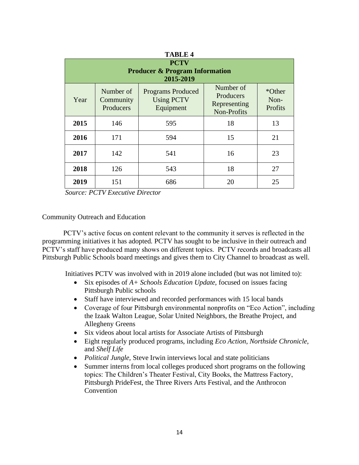| 1 ADLL 4 |                                                                       |                                                            |                                                       |                           |  |  |
|----------|-----------------------------------------------------------------------|------------------------------------------------------------|-------------------------------------------------------|---------------------------|--|--|
|          | <b>PCTV</b><br><b>Producer &amp; Program Information</b><br>2015-2019 |                                                            |                                                       |                           |  |  |
| Year     | Number of<br>Community<br>Producers                                   | <b>Programs Produced</b><br><b>Using PCTV</b><br>Equipment | Number of<br>Producers<br>Representing<br>Non-Profits | *Other<br>Non-<br>Profits |  |  |
| 2015     | 146                                                                   | 595                                                        | 18                                                    | 13                        |  |  |
| 2016     | 171                                                                   | 594                                                        | 15                                                    | 21                        |  |  |
| 2017     | 142                                                                   | 541                                                        | 16                                                    | 23                        |  |  |
| 2018     | 126                                                                   | 543                                                        | 18                                                    | 27                        |  |  |
| 2019     | 151                                                                   | 686                                                        | 20                                                    | 25                        |  |  |

**TABLE 4**

*Source: PCTV Executive Director* 

#### Community Outreach and Education

PCTV's active focus on content relevant to the community it serves is reflected in the programming initiatives it has adopted. PCTV has sought to be inclusive in their outreach and PCTV's staff have produced many shows on different topics. PCTV records and broadcasts all Pittsburgh Public Schools board meetings and gives them to City Channel to broadcast as well.

Initiatives PCTV was involved with in 2019 alone included (but was not limited to):

- Six episodes of *A+ Schools Education Update*, focused on issues facing Pittsburgh Public schools
- Staff have interviewed and recorded performances with 15 local bands
- Coverage of four Pittsburgh environmental nonprofits on "Eco Action", including the Izaak Walton League, Solar United Neighbors, the Breathe Project, and Allegheny Greens
- Six videos about local artists for Associate Artists of Pittsburgh
- Eight regularly produced programs, including *Eco Action*, *Northside Chronicle*, and *Shelf Life*
- *Political Jungle,* Steve Irwin interviews local and state politicians
- Summer interns from local colleges produced short programs on the following topics: The Children's Theater Festival, City Books, the Mattress Factory, Pittsburgh PrideFest, the Three Rivers Arts Festival, and the Anthrocon Convention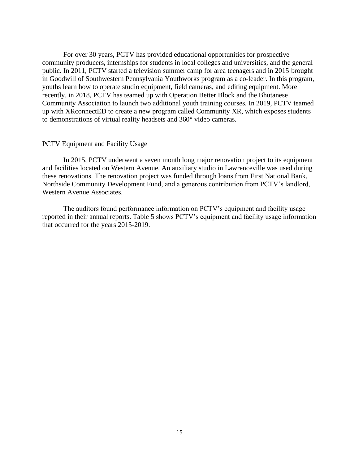For over 30 years, PCTV has provided educational opportunities for prospective community producers, internships for students in local colleges and universities, and the general public. In 2011, PCTV started a television summer camp for area teenagers and in 2015 brought in Goodwill of Southwestern Pennsylvania Youthworks program as a co-leader. In this program, youths learn how to operate studio equipment, field cameras, and editing equipment. More recently, in 2018, PCTV has teamed up with Operation Better Block and the Bhutanese Community Association to launch two additional youth training courses. In 2019, PCTV teamed up with XRconnectED to create a new program called Community XR, which exposes students to demonstrations of virtual reality headsets and 360° video cameras.

#### PCTV Equipment and Facility Usage

In 2015, PCTV underwent a seven month long major renovation project to its equipment and facilities located on Western Avenue. An auxiliary studio in Lawrenceville was used during these renovations. The renovation project was funded through loans from First National Bank, Northside Community Development Fund, and a generous contribution from PCTV's landlord, Western Avenue Associates.

The auditors found performance information on PCTV's equipment and facility usage reported in their annual reports. Table 5 shows PCTV's equipment and facility usage information that occurred for the years 2015-2019.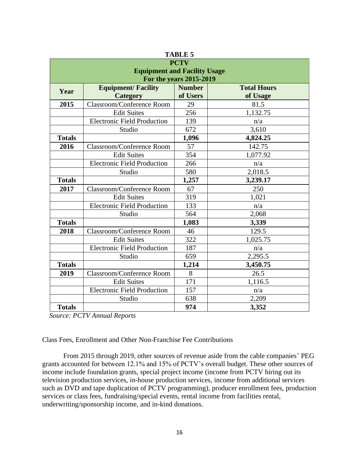| IABLE 5       |                                                                  |          |          |  |  |  |
|---------------|------------------------------------------------------------------|----------|----------|--|--|--|
|               | <b>PCTV</b>                                                      |          |          |  |  |  |
|               | <b>Equipment and Facility Usage</b><br>For the years 2015-2019   |          |          |  |  |  |
|               | <b>Equipment/Facility</b><br><b>Number</b><br><b>Total Hours</b> |          |          |  |  |  |
| Year          | <b>Category</b>                                                  | of Users | of Usage |  |  |  |
| 2015          | Classroom/Conference Room                                        | 29       | 81.5     |  |  |  |
|               | <b>Edit Suites</b>                                               | 256      | 1,132.75 |  |  |  |
|               | <b>Electronic Field Production</b>                               | 139      | n/a      |  |  |  |
|               | Studio                                                           | 672      | 3,610    |  |  |  |
| <b>Totals</b> |                                                                  | 1,096    | 4,824.25 |  |  |  |
| 2016          | Classroom/Conference Room                                        | 57       | 142.75   |  |  |  |
|               | <b>Edit Suites</b>                                               | 354      | 1,077.92 |  |  |  |
|               | <b>Electronic Field Production</b>                               | 266      | n/a      |  |  |  |
|               | Studio                                                           | 580      | 2,018.5  |  |  |  |
| <b>Totals</b> |                                                                  | 1,257    | 3,239.17 |  |  |  |
| 2017          | Classroom/Conference Room                                        | 67       | 250      |  |  |  |
|               | <b>Edit Suites</b>                                               | 319      | 1,021    |  |  |  |
|               | <b>Electronic Field Production</b>                               | 133      | n/a      |  |  |  |
|               | Studio                                                           | 564      | 2,068    |  |  |  |
| <b>Totals</b> |                                                                  | 1,083    | 3,339    |  |  |  |
| 2018          | Classroom/Conference Room                                        | 46       | 129.5    |  |  |  |
|               | <b>Edit Suites</b>                                               | 322      | 1,025.75 |  |  |  |
|               | <b>Electronic Field Production</b>                               | 187      | n/a      |  |  |  |
|               | Studio                                                           | 659      | 2,295.5  |  |  |  |
| <b>Totals</b> |                                                                  | 1,214    | 3,450.75 |  |  |  |
| 2019          | Classroom/Conference Room                                        | 8        | 26.5     |  |  |  |
|               | <b>Edit Suites</b>                                               | 171      | 1,116.5  |  |  |  |
|               | <b>Electronic Field Production</b>                               | 157      | n/a      |  |  |  |
|               | Studio                                                           | 638      | 2,209    |  |  |  |
| <b>Totals</b> |                                                                  | 974      | 3,352    |  |  |  |

| A | \B1<br>L<br>ا د |  |  |  |
|---|-----------------|--|--|--|
|---|-----------------|--|--|--|

 *Source: PCTV Annual Reports*

Class Fees, Enrollment and Other Non-Franchise Fee Contributions

From 2015 through 2019, other sources of revenue aside from the cable companies' PEG grants accounted for between 12.1% and 15% of PCTV's overall budget. These other sources of income include foundation grants, special project income (income from PCTV hiring out its television production services, in-house production services, income from additional services such as DVD and tape duplication of PCTV programming), producer enrollment fees, production services or class fees, fundraising/special events, rental income from facilities rental, underwriting/sponsorship income, and in-kind donations.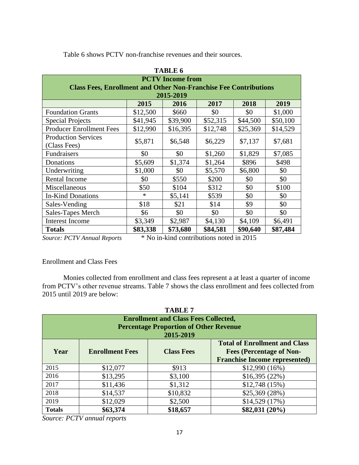|                                                                         | <b>TABLE 6</b> |                         |          |          |          |  |
|-------------------------------------------------------------------------|----------------|-------------------------|----------|----------|----------|--|
|                                                                         |                | <b>PCTV</b> Income from |          |          |          |  |
| <b>Class Fees, Enrollment and Other Non-Franchise Fee Contributions</b> |                |                         |          |          |          |  |
|                                                                         |                | 2015-2019               |          |          |          |  |
|                                                                         | 2015           | 2016                    | 2017     | 2018     | 2019     |  |
| <b>Foundation Grants</b>                                                | \$12,500       | \$660                   | \$0      | \$0      | \$1,000  |  |
| <b>Special Projects</b>                                                 | \$41,945       | \$39,900                | \$52,315 | \$44,500 | \$50,100 |  |
| <b>Producer Enrollment Fees</b>                                         | \$12,990       | \$16,395                | \$12,748 | \$25,369 | \$14,529 |  |
| <b>Production Services</b>                                              |                |                         |          |          |          |  |
| (Class Fees)                                                            | \$5,871        | \$6,548                 | \$6,229  | \$7,137  | \$7,681  |  |
| Fundraisers                                                             | \$0            | \$0                     | \$1,260  | \$1,829  | \$7,085  |  |
| Donations                                                               | \$5,609        | \$1,374                 | \$1,264  | \$896    | \$498    |  |
| Underwriting                                                            | \$1,000        | \$0                     | \$5,570  | \$6,800  | \$0      |  |
| <b>Rental Income</b>                                                    | \$0            | \$550                   | \$200    | \$0      | \$0      |  |
| Miscellaneous                                                           | \$50           | \$104                   | \$312    | \$0      | \$100    |  |
| <b>In-Kind Donations</b>                                                | $\ast$         | \$5,141                 | \$539    | \$0      | \$0      |  |
| Sales-Vending                                                           | \$18           | \$21                    | \$14     | \$9      | \$0      |  |
| Sales-Tapes Merch                                                       | \$6            | \$0                     | \$0      | \$0      | \$0      |  |
| <b>Interest Income</b>                                                  | \$3,349        | \$2,987                 | \$4,130  | \$4,109  | \$6,491  |  |
| <b>Totals</b>                                                           | \$83,338       | \$73,680                | \$84,581 | \$90,640 | \$87,484 |  |

Table 6 shows PCTV non-franchise revenues and their sources.

*Source: PCTV Annual Reports* \* No in-kind contributions noted in 2015

## Enrollment and Class Fees

Monies collected from enrollment and class fees represent a at least a quarter of income from PCTV's other revenue streams. Table 7 shows the class enrollment and fees collected from 2015 until 2019 are below:

|               | <b>TABLE 7</b>                       |                                               |                                      |  |  |  |
|---------------|--------------------------------------|-----------------------------------------------|--------------------------------------|--|--|--|
|               |                                      | <b>Enrollment and Class Fees Collected,</b>   |                                      |  |  |  |
|               |                                      | <b>Percentage Proportion of Other Revenue</b> |                                      |  |  |  |
|               |                                      | 2015-2019                                     |                                      |  |  |  |
|               | <b>Total of Enrollment and Class</b> |                                               |                                      |  |  |  |
| Year          | <b>Enrollment Fees</b>               | <b>Class Fees</b>                             | <b>Fees (Percentage of Non-</b>      |  |  |  |
|               |                                      |                                               | <b>Franchise Income represented)</b> |  |  |  |
| 2015          | \$12,077                             | \$913                                         | $$12,990(16\%)$                      |  |  |  |
| 2016          | \$13,295                             | \$3,100                                       | \$16,395(22%)                        |  |  |  |
| 2017          | \$11,436                             | \$1,312                                       | \$12,748 (15%)                       |  |  |  |
| 2018          | \$14,537                             | \$10,832                                      | \$25,369 (28%)                       |  |  |  |
| 2019          | \$12,029                             | \$2,500                                       | \$14,529 (17%)                       |  |  |  |
| <b>Totals</b> | \$63,374                             | \$18,657                                      | $$82,031 (20\%)$                     |  |  |  |

*Source: PCTV annual reports*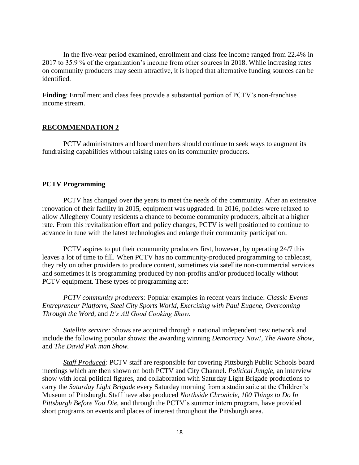In the five-year period examined, enrollment and class fee income ranged from 22.4% in 2017 to 35.9 % of the organization's income from other sources in 2018. While increasing rates on community producers may seem attractive, it is hoped that alternative funding sources can be identified.

**Finding**: Enrollment and class fees provide a substantial portion of PCTV's non-franchise income stream.

#### **RECOMMENDATION 2**

PCTV administrators and board members should continue to seek ways to augment its fundraising capabilities without raising rates on its community producers.

#### **PCTV Programming**

PCTV has changed over the years to meet the needs of the community. After an extensive renovation of their facility in 2015, equipment was upgraded. In 2016, policies were relaxed to allow Allegheny County residents a chance to become community producers, albeit at a higher rate. From this revitalization effort and policy changes, PCTV is well positioned to continue to advance in tune with the latest technologies and enlarge their community participation.

PCTV aspires to put their community producers first, however, by operating 24/7 this leaves a lot of time to fill. When PCTV has no community-produced programming to cablecast, they rely on other providers to produce content, sometimes via satellite non-commercial services and sometimes it is programming produced by non-profits and/or produced locally without PCTV equipment. These types of programming are:

*PCTV community producers:* Popular examples in recent years include: *Classic Events Entrepreneur Platform, Steel City Sports World, Exercising with Paul Eugene, Overcoming Through the Word,* and *It's All Good Cooking Show.*

*Satellite service:* Shows are acquired through a national independent new network and include the following popular shows: the awarding winning *Democracy Now!, The Aware Show,*  and *The David Pak man Show.*

*Staff Produced:* PCTV staff are responsible for covering Pittsburgh Public Schools board meetings which are then shown on both PCTV and City Channel. *Political Jungle*, an interview show with local political figures, and collaboration with Saturday Light Brigade productions to carry the *Saturday Light Brigade* every Saturday morning from a studio suite at the Children's Museum of Pittsburgh. Staff have also produced *Northside Chronicle, 100 Things to Do In Pittsburgh Before You Die,* and through the PCTV's summer intern program, have provided short programs on events and places of interest throughout the Pittsburgh area.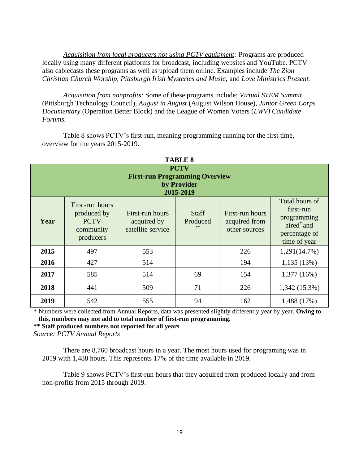*Acquisition from local producers not using PCTV equipment:* Programs are produced locally using many different platforms for broadcast, including websites and YouTube. PCTV also cablecasts these programs as well as upload them online. Examples include *The Zion Christian Church Worship, Pittsburgh Irish Mysteries and Music,* and *Love Ministries Present.*

*Acquisition from nonprofits:* Some of these programs include: *Virtual STEM Summit* (Pittsburgh Technology Council), *August in August* (August Wilson House), *Junior Green Corps Documentary* (Operation Better Block) and the League of Women Voters (*LWV) Candidate Forums*.

| <b>TABLE 8</b>                                                                   |                                                                         |                                                     |                                |                                                   |                                                                                           |
|----------------------------------------------------------------------------------|-------------------------------------------------------------------------|-----------------------------------------------------|--------------------------------|---------------------------------------------------|-------------------------------------------------------------------------------------------|
| <b>PCTV</b><br><b>First-run Programming Overview</b><br>by Provider<br>2015-2019 |                                                                         |                                                     |                                |                                                   |                                                                                           |
| Year                                                                             | First-run hours<br>produced by<br><b>PCTV</b><br>community<br>producers | First-run hours<br>acquired by<br>satellite service | <b>Staff</b><br>Produced<br>** | First-run hours<br>acquired from<br>other sources | Total hours of<br>first-run<br>programming<br>aired* and<br>percentage of<br>time of year |
| 2015                                                                             | 497                                                                     | 553                                                 |                                | 226                                               | 1,291(14.7%)                                                                              |
| 2016                                                                             | 427                                                                     | 514                                                 |                                | 194                                               | 1,135(13%)                                                                                |
| 2017                                                                             | 585                                                                     | 514                                                 | 69                             | 154                                               | 1,377(16%)                                                                                |
| 2018                                                                             | 441                                                                     | 509                                                 | 71                             | 226                                               | $1,342(15.3\%)$                                                                           |
| 2019                                                                             | 542                                                                     | 555                                                 | 94                             | 162                                               | 1,488 (17%)                                                                               |

Table 8 shows PCTV's first-run, meaning programming running for the first time, overview for the years 2015-2019.

\* Numbers were collected from Annual Reports, data was presented slightly differently year by year. **Owing to this, numbers may not add to total number of first**-**run programming.**

**\*\* Staff produced numbers not reported for all years**

*Source: PCTV Annual Reports*

There are 8,760 broadcast hours in a year. The most hours used for programing was in 2019 with 1,488 hours. This represents 17% of the time available in 2019.

Table 9 shows PCTV's first-run hours that they acquired from produced locally and from non-profits from 2015 through 2019.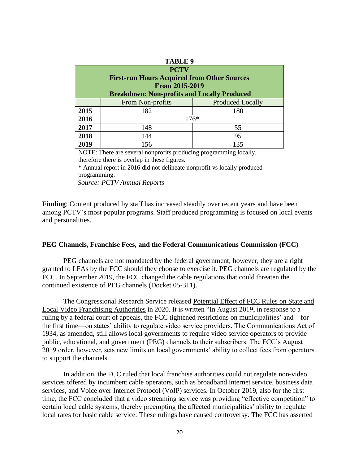|  | л<br>. .<br>١. |  |  |
|--|----------------|--|--|
|--|----------------|--|--|

| <b>PCTV</b><br><b>First-run Hours Acquired from Other Sources</b><br>From 2015-2019<br><b>Breakdown: Non-profits and Locally Produced</b> |                  |                         |  |
|-------------------------------------------------------------------------------------------------------------------------------------------|------------------|-------------------------|--|
|                                                                                                                                           | From Non-profits | <b>Produced Locally</b> |  |
| 2015                                                                                                                                      | 182              | 180                     |  |
| 2016                                                                                                                                      | $176*$           |                         |  |
| 2017                                                                                                                                      | 148              | 55                      |  |
| 2018                                                                                                                                      | 144              | 95                      |  |
| 2019                                                                                                                                      | 156              | 135                     |  |

NOTE: There are several nonprofits producing programming locally, therefore there is overlap in these figures.

\* Annual report in 2016 did not delineate nonprofit vs locally produced programming.

 *Source: PCTV Annual Reports*

**Finding**: Content produced by staff has increased steadily over recent years and have been among PCTV's most popular programs. Staff produced programming is focused on local events and personalities.

#### **PEG Channels, Franchise Fees, and the Federal Communications Commission (FCC)**

PEG channels are not mandated by the federal government; however, they are a right granted to LFAs by the FCC should they choose to exercise it. PEG channels are regulated by the FCC. In September 2019, the FCC changed the cable regulations that could threaten the continued existence of PEG channels (Docket 05-311).

The Congressional Research Service released Potential Effect of FCC Rules on State and Local Video Franchising Authorities in 2020. It is written "In August 2019, in response to a ruling by a federal court of appeals, the FCC tightened restrictions on municipalities' and—for the first time—on states' ability to regulate video service providers. The Communications Act of 1934, as amended, still allows local governments to require video service operators to provide public, educational, and government (PEG) channels to their subscribers. The FCC's August 2019 order, however, sets new limits on local governments' ability to collect fees from operators to support the channels.

In addition, the FCC ruled that local franchise authorities could not regulate non-video services offered by incumbent cable operators, such as broadband internet service, business data services, and Voice over Internet Protocol (VoIP) services. In October 2019, also for the first time, the FCC concluded that a video streaming service was providing "effective competition" to certain local cable systems, thereby preempting the affected municipalities' ability to regulate local rates for basic cable service. These rulings have caused controversy. The FCC has asserted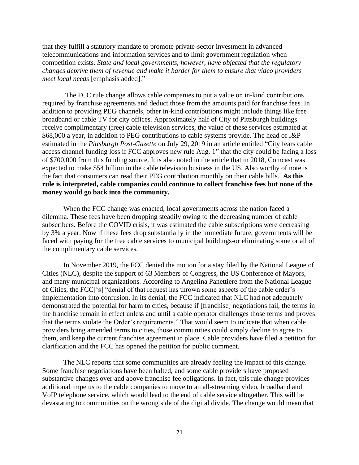that they fulfill a statutory mandate to promote private-sector investment in advanced telecommunications and information services and to limit government regulation when competition exists. *State and local governments, however, have objected that the regulatory changes deprive them of revenue and make it harder for them to ensure that video providers meet local needs* [emphasis added]."

The FCC rule change allows cable companies to put a value on in-kind contributions required by franchise agreements and deduct those from the amounts paid for franchise fees. In addition to providing PEG channels, other in-kind contributions might include things like free broadband or cable TV for city offices. Approximately half of City of Pittsburgh buildings receive complimentary (free) cable television services, the value of these services estimated at \$68,000 a year, in addition to PEG contributions to cable systems provide. The head of I&P estimated in the *Pittsburgh Post-Gazette* on July 29, 2019 in an article entitled "City fears cable access channel funding loss if FCC approves new rule Aug. 1" that the city could be facing a loss of \$700,000 from this funding source. It is also noted in the article that in 2018, Comcast was expected to make \$54 billion in the cable television business in the US. Also worthy of note is the fact that consumers can read their PEG contribution monthly on their cable bills. **As this rule is interpreted, cable companies could continue to collect franchise fees but none of the money would go back into the community.**

When the FCC change was enacted, local governments across the nation faced a dilemma. These fees have been dropping steadily owing to the decreasing number of cable subscribers. Before the COVID crisis, it was estimated the cable subscriptions were decreasing by 3% a year. Now if these fees drop substantially in the immediate future, governments will be faced with paying for the free cable services to municipal buildings-or eliminating some or all of the complimentary cable services.

In November 2019, the FCC denied the motion for a stay filed by the National League of Cities (NLC), despite the support of 63 Members of Congress, the US Conference of Mayors, and many municipal organizations. According to Angelina Panettiere from the National League of Cities, the FCC['s] "denial of that request has thrown some aspects of the cable order's implementation into confusion. In its denial, the FCC indicated that NLC had not adequately demonstrated the potential for harm to cities, because if [franchise] negotiations fail, the terms in the franchise remain in effect unless and until a cable operator challenges those terms and proves that the terms violate the Order's requirements." That would seem to indicate that when cable providers bring amended terms to cities, those communities could simply decline to agree to them, and keep the current franchise agreement in place. Cable providers have filed a petition for clarification and the FCC has opened the petition for public comment.

The NLC reports that some communities are already feeling the impact of this change. Some franchise negotiations have been halted, and some cable providers have proposed substantive changes over and above franchise fee obligations. In fact, this rule change provides additional impetus to the cable companies to move to an all-streaming video, broadband and VoIP telephone service, which would lead to the end of cable service altogether. This will be devastating to communities on the wrong side of the digital divide. The change would mean that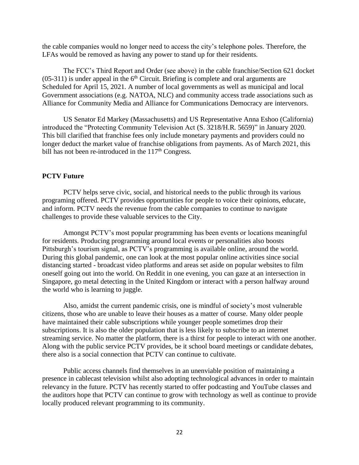the cable companies would no longer need to access the city's telephone poles. Therefore, the LFAs would be removed as having any power to stand up for their residents.

The FCC's Third Report and Order (see above) in the cable franchise/Section 621 docket  $(05-311)$  is under appeal in the 6<sup>th</sup> Circuit. Briefing is complete and oral arguments are Scheduled for April 15, 2021. A number of local governments as well as municipal and local Government associations (e.g. NATOA, NLC) and community access trade associations such as Alliance for Community Media and Alliance for Communications Democracy are intervenors.

US Senator Ed Markey (Massachusetts) and US Representative Anna Eshoo (California) introduced the "Protecting Community Television Act (S. 3218/H.R. 5659)" in January 2020. This bill clarified that franchise fees only include monetary payments and providers could no longer deduct the market value of franchise obligations from payments. As of March 2021, this bill has not been re-introduced in the  $117<sup>th</sup>$  Congress.

#### **PCTV Future**

PCTV helps serve civic, social, and historical needs to the public through its various programing offered. PCTV provides opportunities for people to voice their opinions, educate, and inform. PCTV needs the revenue from the cable companies to continue to navigate challenges to provide these valuable services to the City.

Amongst PCTV's most popular programming has been events or locations meaningful for residents. Producing programming around local events or personalities also boosts Pittsburgh's tourism signal, as PCTV's programming is available online, around the world. During this global pandemic, one can look at the most popular online activities since social distancing started - broadcast video platforms and areas set aside on popular websites to film oneself going out into the world. On Reddit in one evening, you can gaze at an intersection in Singapore, go metal detecting in the United Kingdom or interact with a person halfway around the world who is learning to juggle.

Also, amidst the current pandemic crisis, one is mindful of society's most vulnerable citizens, those who are unable to leave their houses as a matter of course. Many older people have maintained their cable subscriptions while younger people sometimes drop their subscriptions. It is also the older population that is less likely to subscribe to an internet streaming service. No matter the platform, there is a thirst for people to interact with one another. Along with the public service PCTV provides, be it school board meetings or candidate debates, there also is a social connection that PCTV can continue to cultivate.

Public access channels find themselves in an unenviable position of maintaining a presence in cablecast television whilst also adopting technological advances in order to maintain relevancy in the future. PCTV has recently started to offer podcasting and YouTube classes and the auditors hope that PCTV can continue to grow with technology as well as continue to provide locally produced relevant programming to its community.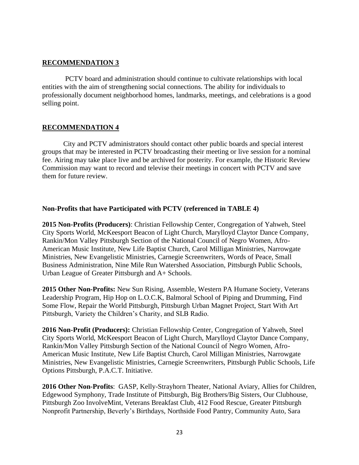## **RECOMMENDATION 3**

PCTV board and administration should continue to cultivate relationships with local entities with the aim of strengthening social connections. The ability for individuals to professionally document neighborhood homes, landmarks, meetings, and celebrations is a good selling point.

## **RECOMMENDATION 4**

City and PCTV administrators should contact other public boards and special interest groups that may be interested in PCTV broadcasting their meeting or live session for a nominal fee. Airing may take place live and be archived for posterity. For example, the Historic Review Commission may want to record and televise their meetings in concert with PCTV and save them for future review.

## **Non-Profits that have Participated with PCTV (referenced in TABLE 4)**

**2015 Non-Profits (Producers)**: Christian Fellowship Center, Congregation of Yahweh, Steel City Sports World, McKeesport Beacon of Light Church, Marylloyd Claytor Dance Company, Rankin/Mon Valley Pittsburgh Section of the National Council of Negro Women, Afro-American Music Institute, New Life Baptist Church, Carol Milligan Ministries, Narrowgate Ministries, New Evangelistic Ministries, Carnegie Screenwriters, Words of Peace, Small Business Administration, Nine Mile Run Watershed Association, Pittsburgh Public Schools, Urban League of Greater Pittsburgh and A+ Schools.

**2015 Other Non-Profits:** New Sun Rising, Assemble, Western PA Humane Society, Veterans Leadership Program, Hip Hop on L.O.C.K, Balmoral School of Piping and Drumming, Find Some Flow, Repair the World Pittsburgh, Pittsburgh Urban Magnet Project, Start With Art Pittsburgh, Variety the Children's Charity, and SLB Radio.

**2016 Non-Profit (Producers):** Christian Fellowship Center, Congregation of Yahweh, Steel City Sports World, McKeesport Beacon of Light Church, Marylloyd Claytor Dance Company, Rankin/Mon Valley Pittsburgh Section of the National Council of Negro Women, Afro-American Music Institute, New Life Baptist Church, Carol Milligan Ministries, Narrowgate Ministries, New Evangelistic Ministries, Carnegie Screenwriters, Pittsburgh Public Schools, Life Options Pittsburgh, P.A.C.T. Initiative.

**2016 Other Non-Profits**: GASP, Kelly-Strayhorn Theater, National Aviary, Allies for Children, Edgewood Symphony, Trade Institute of Pittsburgh, Big Brothers/Big Sisters, Our Clubhouse, Pittsburgh Zoo InvolveMint, Veterans Breakfast Club, 412 Food Rescue, Greater Pittsburgh Nonprofit Partnership, Beverly's Birthdays, Northside Food Pantry, Community Auto, Sara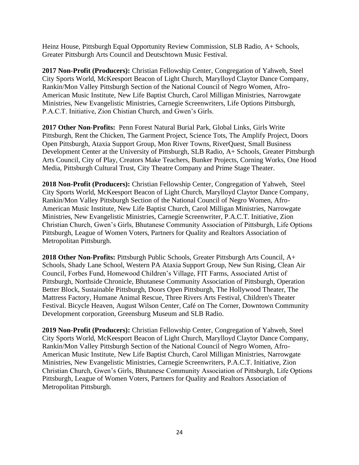Heinz House, Pittsburgh Equal Opportunity Review Commission, SLB Radio, A+ Schools, Greater Pittsburgh Arts Council and Deutschtown Music Festival.

**2017 Non-Profit (Producers):** Christian Fellowship Center, Congregation of Yahweh, Steel City Sports World, McKeesport Beacon of Light Church, Marylloyd Claytor Dance Company, Rankin/Mon Valley Pittsburgh Section of the National Council of Negro Women, Afro-American Music Institute, New Life Baptist Church, Carol Milligan Ministries, Narrowgate Ministries, New Evangelistic Ministries, Carnegie Screenwriters, Life Options Pittsburgh, P.A.C.T. Initiative, Zion Chistian Church, and Gwen's Girls.

**2017 Other Non-Profits:** Penn Forest Natural Burial Park, Global Links, Girls Write Pittsburgh, Rent the Chicken, The Garment Project, Science Tots, The Amplify Project, Doors Open Pittsburgh, Ataxia Support Group, Mon River Towns, RiverQuest, Small Business Development Center at the University of Pittsburgh, SLB Radio, A+ Schools, Greater Pittsburgh Arts Council, City of Play, Creators Make Teachers, Bunker Projects, Corning Works, One Hood Media, Pittsburgh Cultural Trust, City Theatre Company and Prime Stage Theater.

**2018 Non-Profit (Producers):** Christian Fellowship Center, Congregation of Yahweh, Steel City Sports World, McKeesport Beacon of Light Church, Marylloyd Claytor Dance Company, Rankin/Mon Valley Pittsburgh Section of the National Council of Negro Women, Afro-American Music Institute, New Life Baptist Church, Carol Milligan Ministries, Narrowgate Ministries, New Evangelistic Ministries, Carnegie Screenwriter, P.A.C.T. Initiative, Zion Christian Church, Gwen's Girls, Bhutanese Community Association of Pittsburgh, Life Options Pittsburgh, League of Women Voters, Partners for Quality and Realtors Association of Metropolitan Pittsburgh.

**2018 Other Non-Profits:** Pittsburgh Public Schools, Greater Pittsburgh Arts Council, A+ Schools, Shady Lane School, Western PA Ataxia Support Group, New Sun Rising, Clean Air Council, Forbes Fund, Homewood Children's Village, FIT Farms, Associated Artist of Pittsburgh, Northside Chronicle, Bhutanese Community Association of Pittsburgh, Operation Better Block, Sustainable Pittsburgh, Doors Open Pittsburgh, The Hollywood Theater, The Mattress Factory, Humane Animal Rescue, Three Rivers Arts Festival, Children's Theater Festival. Bicycle Heaven, August Wilson Center, Café on The Corner, Downtown Community Development corporation, Greensburg Museum and SLB Radio.

**2019 Non-Profit (Producers):** Christian Fellowship Center, Congregation of Yahweh, Steel City Sports World, McKeesport Beacon of Light Church, Marylloyd Claytor Dance Company, Rankin/Mon Valley Pittsburgh Section of the National Council of Negro Women, Afro-American Music Institute, New Life Baptist Church, Carol Milligan Ministries, Narrowgate Ministries, New Evangelistic Ministries, Carnegie Screenwriters, P.A.C.T. Initiative, Zion Christian Church, Gwen's Girls, Bhutanese Community Association of Pittsburgh, Life Options Pittsburgh, League of Women Voters, Partners for Quality and Realtors Association of Metropolitan Pittsburgh.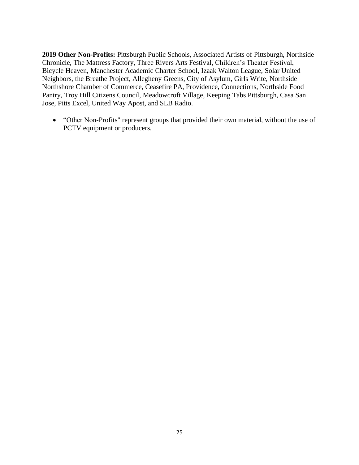**2019 Other Non-Profits:** Pittsburgh Public Schools, Associated Artists of Pittsburgh, Northside Chronicle, The Mattress Factory, Three Rivers Arts Festival, Children's Theater Festival, Bicycle Heaven, Manchester Academic Charter School, Izaak Walton League, Solar United Neighbors, the Breathe Project, Allegheny Greens, City of Asylum, Girls Write, Northside Northshore Chamber of Commerce, Ceasefire PA, Providence, Connections, Northside Food Pantry, Troy Hill Citizens Council, Meadowcroft Village, Keeping Tabs Pittsburgh, Casa San Jose, Pitts Excel, United Way Apost, and SLB Radio.

• "Other Non-Profits" represent groups that provided their own material, without the use of PCTV equipment or producers.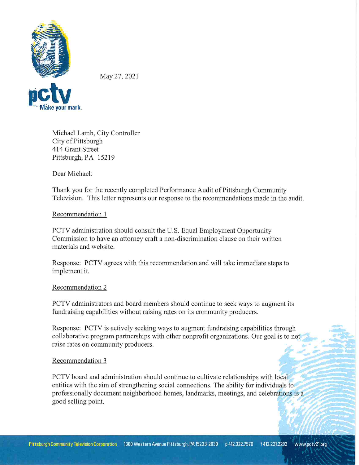

May 27, 2021

Michael Lamb, City Controller City of Pittsburgh 414 Grant Street Pittsburgh, PA 15219

Dear Michael:

Thank you for the recently completed Performance Audit of Pittsburgh Community Television. This letter represents our response to the recommendations made in the audit.

## Recommendation 1

PCTV administration should consult the U.S. Equal Employment Opportunity Commission to have an attorney craft a non-discrimination clause on their written materials and website.

Response: PCTV agrees with this recommendation and will take immediate steps to implement it.

### Recommendation 2

PCTV administrators and board members should continue to seek ways to augment its fundraising capabilities without raising rates on its community producers.

Response: PCTV is actively seeking ways to augment fundraising capabilities through collaborative program partnerships with other nonprofit organizations. Our goal is to not raise rates on community producers.

### Recommendation 3

PCTV board and administration should continue to cultivate relationships with local entities with the aim of strengthening social connections. The ability for individuals to professionally document neighborhood homes, landmarks, meetings, and celebrations is a good selling point.